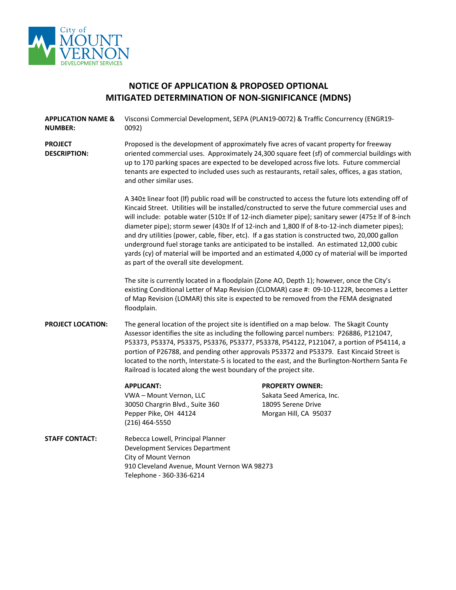

## **NOTICE OF APPLICATION & PROPOSED OPTIONAL MITIGATED DETERMINATION OF NON-SIGNIFICANCE (MDNS)**

**APPLICATION NAME & NUMBER:** Visconsi Commercial Development, SEPA (PLAN19-0072) & Traffic Concurrency (ENGR19- 0092)

**PROJECT DESCRIPTION:** Proposed is the development of approximately five acres of vacant property for freeway oriented commercial uses. Approximately 24,300 square feet (sf) of commercial buildings with up to 170 parking spaces are expected to be developed across five lots. Future commercial tenants are expected to included uses such as restaurants, retail sales, offices, a gas station, and other similar uses.

> A 340± linear foot (lf) public road will be constructed to access the future lots extending off of Kincaid Street. Utilities will be installed/constructed to serve the future commercial uses and will include: potable water (510± lf of 12-inch diameter pipe); sanitary sewer (475± lf of 8-inch diameter pipe); storm sewer (430± lf of 12-inch and 1,800 lf of 8-to-12-inch diameter pipes); and dry utilities (power, cable, fiber, etc). If a gas station is constructed two, 20,000 gallon underground fuel storage tanks are anticipated to be installed. An estimated 12,000 cubic yards (cy) of material will be imported and an estimated 4,000 cy of material will be imported as part of the overall site development.

> The site is currently located in a floodplain (Zone AO, Depth 1); however, once the City's existing Conditional Letter of Map Revision (CLOMAR) case #: 09-10-1122R, becomes a Letter of Map Revision (LOMAR) this site is expected to be removed from the FEMA designated floodplain.

**PROJECT LOCATION:** The general location of the project site is identified on a map below. The Skagit County Assessor identifies the site as including the following parcel numbers: P26886, P121047, P53373, P53374, P53375, P53376, P53377, P53378, P54122, P121047, a portion of P54114, a portion of P26788, and pending other approvals P53372 and P53379. East Kincaid Street is located to the north, Interstate-5 is located to the east, and the Burlington-Northern Santa Fe Railroad is located along the west boundary of the project site.

VWA – Mount Vernon, LLC Sakata Seed America, Inc. 30050 Chargrin Blvd., Suite 360 18095 Serene Drive Pepper Pike, OH 44124 Morgan Hill, CA 95037 (216) 464-5550

## **APPLICANT: PROPERTY OWNER:**

**STAFF CONTACT:** Rebecca Lowell, Principal Planner Development Services Department City of Mount Vernon 910 Cleveland Avenue, Mount Vernon WA 98273 Telephone - 360-336-6214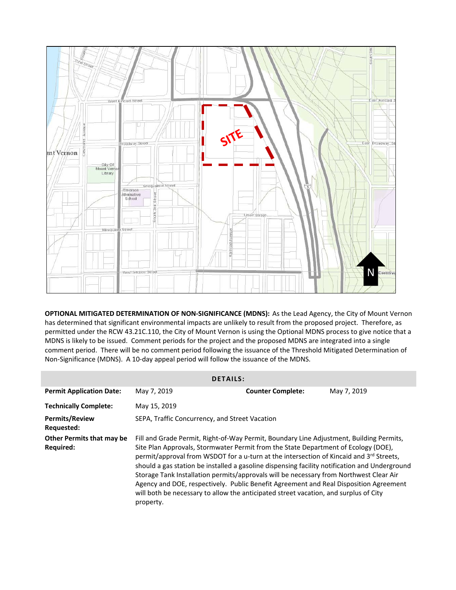

**OPTIONAL MITIGATED DETERMINATION OF NON-SIGNIFICANCE (MDNS):** As the Lead Agency, the City of Mount Vernon has determined that significant environmental impacts are unlikely to result from the proposed project. Therefore, as permitted under the RCW 43.21C.110, the City of Mount Vernon is using the Optional MDNS process to give notice that a MDNS is likely to be issued. Comment periods for the project and the proposed MDNS are integrated into a single comment period. There will be no comment period following the issuance of the Threshold Mitigated Determination of Non-Significance (MDNS). A 10-day appeal period will follow the issuance of the MDNS.

| <b>DETAILS:</b>                                      |                                                                                                                                                                                                                                                                                                                                                                                                                                                                                                                                                                                                                                                                        |                          |             |  |
|------------------------------------------------------|------------------------------------------------------------------------------------------------------------------------------------------------------------------------------------------------------------------------------------------------------------------------------------------------------------------------------------------------------------------------------------------------------------------------------------------------------------------------------------------------------------------------------------------------------------------------------------------------------------------------------------------------------------------------|--------------------------|-------------|--|
| <b>Permit Application Date:</b>                      | May 7, 2019                                                                                                                                                                                                                                                                                                                                                                                                                                                                                                                                                                                                                                                            | <b>Counter Complete:</b> | May 7, 2019 |  |
| <b>Technically Complete:</b>                         | May 15, 2019                                                                                                                                                                                                                                                                                                                                                                                                                                                                                                                                                                                                                                                           |                          |             |  |
| <b>Permits/Review</b><br><b>Requested:</b>           | SEPA, Traffic Concurrency, and Street Vacation                                                                                                                                                                                                                                                                                                                                                                                                                                                                                                                                                                                                                         |                          |             |  |
| <b>Other Permits that may be</b><br><b>Required:</b> | Fill and Grade Permit, Right-of-Way Permit, Boundary Line Adjustment, Building Permits,<br>Site Plan Approvals, Stormwater Permit from the State Department of Ecology (DOE),<br>permit/approval from WSDOT for a u-turn at the intersection of Kincaid and $3^{rd}$ Streets,<br>should a gas station be installed a gasoline dispensing facility notification and Underground<br>Storage Tank Installation permits/approvals will be necessary from Northwest Clear Air<br>Agency and DOE, respectively. Public Benefit Agreement and Real Disposition Agreement<br>will both be necessary to allow the anticipated street vacation, and surplus of City<br>property. |                          |             |  |